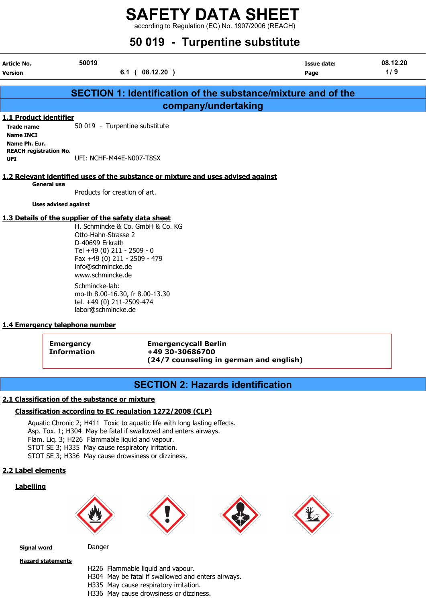according to Regulation (EC) No. 1907/2006 (REACH)

# 50 019 - Turpentine substitute

|                                                                                  | <b>30 019 - Turpentine Substitute</b>                                                                                                                                                                                                                                                                                                               |                            |                 |
|----------------------------------------------------------------------------------|-----------------------------------------------------------------------------------------------------------------------------------------------------------------------------------------------------------------------------------------------------------------------------------------------------------------------------------------------------|----------------------------|-----------------|
| Article No.<br><b>Version</b>                                                    | 50019<br>$6.1$ ( $08.12.20$ )                                                                                                                                                                                                                                                                                                                       | <b>Issue date:</b><br>Page | 08.12.20<br>1/9 |
|                                                                                  | <b>SECTION 1: Identification of the substance/mixture and of the</b>                                                                                                                                                                                                                                                                                |                            |                 |
|                                                                                  | company/undertaking                                                                                                                                                                                                                                                                                                                                 |                            |                 |
| 1.1 Product identifier<br><b>Trade name</b><br><b>Name INCI</b><br>Name Ph. Eur. | 50 019 - Turpentine substitute                                                                                                                                                                                                                                                                                                                      |                            |                 |
| <b>REACH registration No.</b><br><b>UFI</b>                                      | UFI: NCHF-M44E-N007-T8SX                                                                                                                                                                                                                                                                                                                            |                            |                 |
| <b>General use</b>                                                               | 1.2 Relevant identified uses of the substance or mixture and uses advised against                                                                                                                                                                                                                                                                   |                            |                 |
| <b>Uses advised against</b>                                                      | Products for creation of art.                                                                                                                                                                                                                                                                                                                       |                            |                 |
|                                                                                  | 1.3 Details of the supplier of the safety data sheet<br>H. Schmincke & Co. GmbH & Co. KG<br>Otto-Hahn-Strasse 2<br>D-40699 Erkrath<br>Tel +49 (0) 211 - 2509 - 0<br>Fax +49 (0) 211 - 2509 - 479<br>info@schmincke.de<br>www.schmincke.de<br>Schmincke-lab:<br>mo-th 8.00-16.30, fr 8.00-13.30<br>$L - 1$ $(0)$ $(0)$ $(1)$ $(1)$ $(0)$ $(1)$ $(0)$ |                            |                 |

tel. +49 (0) 211-2509-474 labor@schmincke.de

#### 1.4 Emergency telephone number

Emergency Emergencycall Berlin Information +49 30-30686700 (24/7 counseling in german and english)

# SECTION 2: Hazards identification

#### 2.1 Classification of the substance or mixture

#### Classification according to EC regulation 1272/2008 (CLP)

Aquatic Chronic 2; H411 Toxic to aquatic life with long lasting effects. Asp. Tox. 1; H304 May be fatal if swallowed and enters airways. Flam. Liq. 3; H226 Flammable liquid and vapour. STOT SE 3; H335 May cause respiratory irritation. STOT SE 3; H336 May cause drowsiness or dizziness.

#### 2.2 Label elements

#### **Labelling**









Signal word Danger

Hazard statements

- H226 Flammable liquid and vapour.
- H304 May be fatal if swallowed and enters airways.
- H335 May cause respiratory irritation.
- H336 May cause drowsiness or dizziness.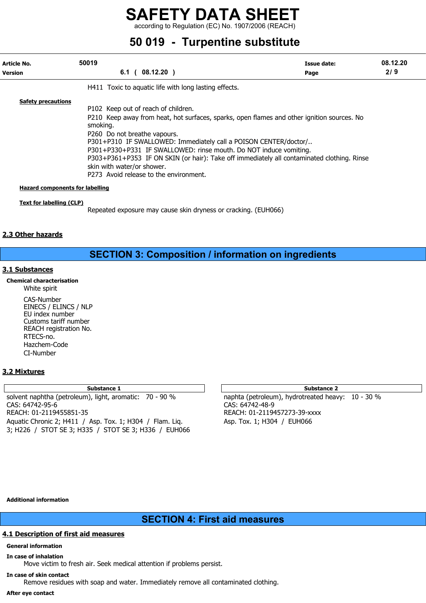according to Regulation (EC) No. 1907/2006 (REACH)

# 50 019 - Turpentine substitute

| Article No.<br><b>Version</b>          | 50019<br>$08.12.20$ )<br>6.1                                                                                                                                                                                                                                                                                                                                                                                                                                                                 | Issue date:<br>Page | 08.12.20<br>2/9 |
|----------------------------------------|----------------------------------------------------------------------------------------------------------------------------------------------------------------------------------------------------------------------------------------------------------------------------------------------------------------------------------------------------------------------------------------------------------------------------------------------------------------------------------------------|---------------------|-----------------|
|                                        | H411 Toxic to aquatic life with long lasting effects.                                                                                                                                                                                                                                                                                                                                                                                                                                        |                     |                 |
| <b>Safety precautions</b>              | P102 Keep out of reach of children.<br>P210 Keep away from heat, hot surfaces, sparks, open flames and other ignition sources. No<br>smoking.<br>P260 Do not breathe vapours.<br>P301+P310 IF SWALLOWED: Immediately call a POISON CENTER/doctor/<br>P301+P330+P331 IF SWALLOWED: rinse mouth. Do NOT induce vomiting.<br>P303+P361+P353 IF ON SKIN (or hair): Take off immediately all contaminated clothing. Rinse<br>skin with water/or shower.<br>P273 Avoid release to the environment. |                     |                 |
| <b>Hazard components for labelling</b> |                                                                                                                                                                                                                                                                                                                                                                                                                                                                                              |                     |                 |
| <b>Text for labelling (CLP)</b>        | Repeated exposure may cause skin dryness or cracking. (EUH066)                                                                                                                                                                                                                                                                                                                                                                                                                               |                     |                 |

#### 2.3 Other hazards

# SECTION 3: Composition / information on ingredients

#### 3.1 Substances

#### Chemical characterisation

White spirit CAS-Number EINECS / ELINCS / NLP EU index number Customs tariff number REACH registration No. RTECS-no. Hazchem-Code CI-Number

#### 3.2 Mixtures

solvent naphtha (petroleum), light, aromatic: 70 - 90 % naphta (petroleum), hydrotreated heavy: 10 - 30 % CAS: 64742-95-6 CAS: 64742-48-9 REACH: 01-2119455851-35 REACH: 01-2119457273-39-xxxx Aquatic Chronic 2; H411 / Asp. Tox. 1; H304 / Flam. Lig. Asp. Tox. 1; H304 / EUH066 3; H226 / STOT SE 3; H335 / STOT SE 3; H336 / EUH066

#### Substance 1 Substance 2 Substance 2 Substance 2 Substance 2 Substance 2 Substance 2

#### Additional information

# SECTION 4: First aid measures

#### 4.1 Description of first aid measures

#### General information

In case of inhalation

Move victim to fresh air. Seek medical attention if problems persist.

#### In case of skin contact

Remove residues with soap and water. Immediately remove all contaminated clothing.

#### After eye contact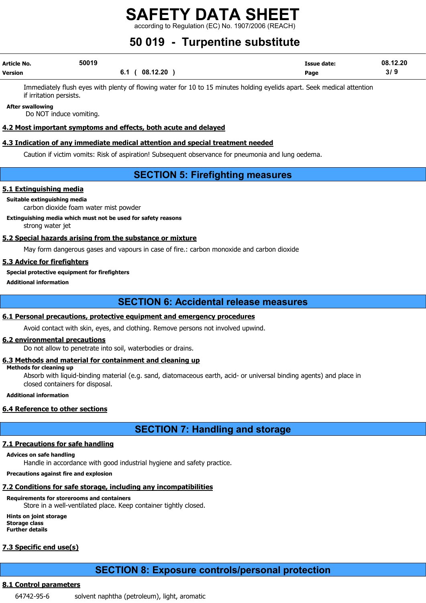$\lim$  to Regulation (EC) No. 1907/2006 (REACH)

# 50 019 - Turpentine substitute

| Article No.    | 50019 |                | <b>Issue date:</b> | 08.12.20 |
|----------------|-------|----------------|--------------------|----------|
| <b>Version</b> |       | 6.1 ( 08.12.20 | Page               | 3/9      |

Immediately flush eyes with plenty of flowing water for 10 to 15 minutes holding eyelids apart. Seek medical attention if irritation persists.

After swallowing

Do NOT induce vomiting.

#### 4.2 Most important symptoms and effects, both acute and delayed

#### 4.3 Indication of any immediate medical attention and special treatment needed

Caution if victim vomits: Risk of aspiration! Subsequent observance for pneumonia and lung oedema.

# SECTION 5: Firefighting measures

#### 5.1 Extinguishing media

## Suitable extinguishing media

carbon dioxide foam water mist powder

#### Extinguishing media which must not be used for safety reasons

strong water jet

#### 5.2 Special hazards arising from the substance or mixture

May form dangerous gases and vapours in case of fire.: carbon monoxide and carbon dioxide

#### 5.3 Advice for firefighters

Special protective equipment for firefighters

#### Additional information

## SECTION 6: Accidental release measures

#### 6.1 Personal precautions, protective equipment and emergency procedures

Avoid contact with skin, eyes, and clothing. Remove persons not involved upwind.

#### 6.2 environmental precautions

Do not allow to penetrate into soil, waterbodies or drains.

## 6.3 Methods and material for containment and cleaning up

Methods for cleaning up

Absorb with liquid-binding material (e.g. sand, diatomaceous earth, acid- or universal binding agents) and place in closed containers for disposal.

#### Additional information

## 6.4 Reference to other sections

# SECTION 7: Handling and storage

## 7.1 Precautions for safe handling

## Advices on safe handling

Handle in accordance with good industrial hygiene and safety practice.

### Precautions against fire and explosion

# 7.2 Conditions for safe storage, including any incompatibilities

## Requirements for storerooms and containers

Store in a well-ventilated place. Keep container tightly closed.

Hints on joint storage Storage class Further details

# 7.3 Specific end use(s)

# SECTION 8: Exposure controls/personal protection

## 8.1 Control parameters

64742-95-6 solvent naphtha (petroleum), light, aromatic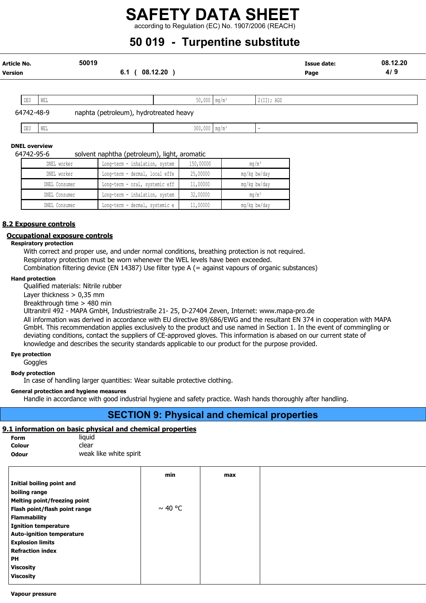according to Regulation (EC) No. 1907/2006 (REACH)

# 50 019 - Turpentine substitute

| Article No.<br><b>Version</b> |     | 50019<br>6.1 <sub>0</sub>              | 08.12.20                   |            | <b>Issue date:</b><br>Page | 08.12.20<br>4/9 |
|-------------------------------|-----|----------------------------------------|----------------------------|------------|----------------------------|-----------------|
| DEU                           | WEL |                                        | $50,000$ mg/m <sup>3</sup> | 2(II); AGS |                            |                 |
| 64742-48-9                    |     | naphta (petroleum), hydrotreated heavy |                            |            |                            |                 |

| .<br>ъm<br>. تلا ا | WEL | 300<br> | . |  |
|--------------------|-----|---------|---|--|
|                    |     |         |   |  |

#### DNEL overview

#### 64742-95-6 solvent naphtha (petroleum), light, aromatic

| DNEL worker   | Long-term - inhalation, system | 150,00000 | mq/m <sup>3</sup> |
|---------------|--------------------------------|-----------|-------------------|
| DNEL worker   | Long-term - dermal, local effe | 25,00000  | mg/kg bw/day      |
| DNEL Consumer | Long-term - oral, systemic eff | 11,00000  | mg/kg bw/day      |
| DNEL Consumer | Long-term - inhalation, system | 32,00000  | $mq/m^3$          |
| DNEL Consumer | Long-term - dermal, systemic e | 11,00000  | mg/kg bw/day      |

#### 8.2 Exposure controls

#### Occupational exposure controls

#### Respiratory protection

With correct and proper use, and under normal conditions, breathing protection is not required.

Respiratory protection must be worn whenever the WEL levels have been exceeded.

Combination filtering device (EN 14387) Use filter type A (= against vapours of organic substances)

#### Hand protection

Qualified materials: Nitrile rubber

Layer thickness  $> 0.35$  mm

Breakthrough time > 480 min

Ultranitril 492 - MAPA GmbH, Industriestraße 21- 25, D-27404 Zeven, Internet: www.mapa-pro.de

All information was derived in accordance with EU directive 89/686/EWG and the resultant EN 374 in cooperation with MAPA GmbH. This recommendation applies exclusively to the product and use named in Section 1. In the event of commingling or deviating conditions, contact the suppliers of CE-approved gloves. This information is abased on our current state of knowledge and describes the security standards applicable to our product for the purpose provided.

# Eye protection

Goggles

#### Body protection

In case of handling larger quantities: Wear suitable protective clothing.

#### General protection and hygiene measures

Handle in accordance with good industrial hygiene and safety practice. Wash hands thoroughly after handling.

# SECTION 9: Physical and chemical properties

#### 9.1 information on basic physical and chemical properties

| Form   | liquid                 |
|--------|------------------------|
| Colour | clear                  |
| Odour  | weak like white spirit |

| min          | max |
|--------------|-----|
|              |     |
|              |     |
|              |     |
| $\sim$ 40 °C |     |
|              |     |
|              |     |
|              |     |
|              |     |
|              |     |
|              |     |
|              |     |
|              |     |
|              |     |

#### Vapour pressure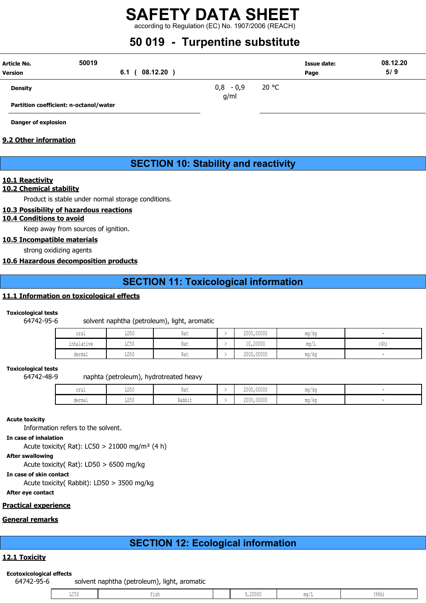according to Regulation (EC) No. 1907/2006 (REACH)

# 50 019 - Turpentine substitute

| Article No.<br><b>Version</b> | 50019<br>08.12.20<br>6.1 <sub>0</sub>  |                       |       | Issue date:<br>Page | 08.12.20<br>5/9 |
|-------------------------------|----------------------------------------|-----------------------|-------|---------------------|-----------------|
| <b>Density</b>                |                                        | $-0,9$<br>0,8<br>g/ml | 20 °C |                     |                 |
|                               | Partition coefficient: n-octanol/water |                       |       |                     |                 |

Danger of explosion

#### 9.2 Other information

# SECTION 10: Stability and reactivity

#### 10.1 Reactivity

#### 10.2 Chemical stability

Product is stable under normal storage conditions.

#### 10.3 Possibility of hazardous reactions

#### 10.4 Conditions to avoid

Keep away from sources of ignition.

#### 10.5 Incompatible materials

strong oxidizing agents

#### 10.6 Hazardous decomposition products

# SECTION 11: Toxicological information

#### 11.1 Information on toxicological effects

#### Toxicological tests

64742-95-6 solvent naphtha (petroleum), light, aromatic

| oral       | LD50                    | 114 L | 2000 00000<br>ZUUU, UUUUU | ma/ka |      |
|------------|-------------------------|-------|---------------------------|-------|------|
| inhalative | $T \cap E \cap$<br>UCJU | na i  | 10,20000                  | mg/L  | (4h) |
| dermal     | LD50                    | na l  | 2000,00000                | mg/kg |      |

#### Toxicological tests

64742-48-9 naphta (petroleum), hydrotreated heavy

| 1100<br>⊥⊔∪∨<br>$v + u +$                     | 2000,00000 | ma/ka |  |
|-----------------------------------------------|------------|-------|--|
| Rabbit<br>T DE !<br>derma<br>⊥⊔∪∪<br>u∪⊥illu⊥ | 2000,00000 | mg/kg |  |

#### Acute toxicity

Information refers to the solvent.

In case of inhalation

Acute toxicity( Rat): LC50 > 21000 mg/m<sup>3</sup> (4 h)

#### After swallowing

Acute toxicity( Rat): LD50 > 6500 mg/kg

In case of skin contact

Acute toxicity( Rabbit): LD50 > 3500 mg/kg

After eye contact

## Practical experience

## General remarks

# SECTION 12: Ecological information

## 12.1 Toxicity

#### Ecotoxicological effects

64742-95-6 solvent naphtha (petroleum), light, aromatic

|--|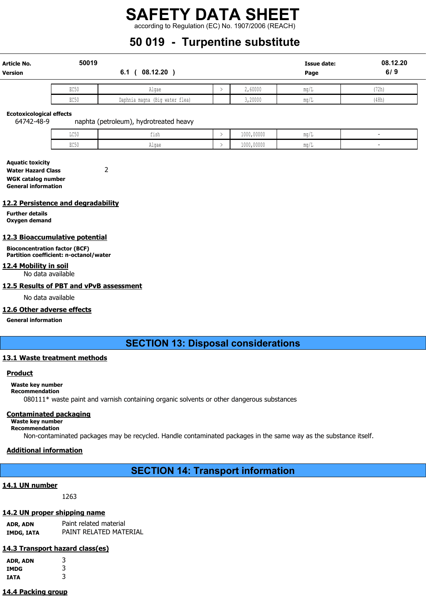according to Regulation (EC) No. 1907/2006 (REACH)

# 50 019 - Turpentine substitute

| <b>Article No.</b><br>Version | 50019<br>08.12.20<br>6.1 |                                |  |         | <b>Issue date:</b><br>Page | 08.12.20<br>6/9 |
|-------------------------------|--------------------------|--------------------------------|--|---------|----------------------------|-----------------|
|                               | EC50                     | Algae                          |  | 2,60000 | -1-<br>$m\alpha/L$         | (72h)           |
|                               | EC50                     | Daphnia magna (Big water flea) |  | 3,20000 | mq/L                       | (48h)           |

Ecotoxicological effects

64742-48-9 naphta (petroleum), hydrotreated heavy

| $T \cap E$<br>コレマッ | .<br>--- | 1000,00000 | -111.47 J |  |
|--------------------|----------|------------|-----------|--|
| PAC<br>コレマル        | Alqae    | 1000,00000 | IIIU/I    |  |

Aquatic toxicity Water Hazard Class 2 WGK catalog number General information

#### 12.2 Persistence and degradability

Further details Oxygen demand

#### 12.3 Bioaccumulative potential

Bioconcentration factor (BCF) Partition coefficient: n-octanol/water

#### 12.4 Mobility in soil

No data available

#### 12.5 Results of PBT and vPvB assessment

No data available

#### 12.6 Other adverse effects

General information

## SECTION 13: Disposal considerations

#### 13.1 Waste treatment methods

#### **Product**

Waste key number

#### Recommendation

080111\* waste paint and varnish containing organic solvents or other dangerous substances

#### Contaminated packaging

Waste key number Recommendation

Non-contaminated packages may be recycled. Handle contaminated packages in the same way as the substance itself.

#### Additional information

# SECTION 14: Transport information

#### 14.1 UN number

1263

#### 14.2 UN proper shipping name

ADR, ADN Paint related material IMDG, IATA PAINT RELATED MATERIAL

#### 14.3 Transport hazard class(es)

| ADR, ADN    | 3 |
|-------------|---|
| IMDG        | 3 |
| <b>IATA</b> | 3 |

#### 14.4 Packing group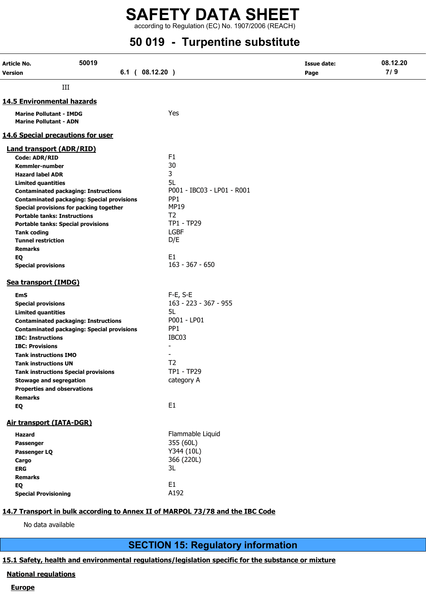according to Regulation (EC) No. 1907/2006 (REACH)

# 50 019 - Turpentine substitute

| Article No.                         | 50019                                                                                            |                                | <b>Issue date:</b> | 08.12.20 |
|-------------------------------------|--------------------------------------------------------------------------------------------------|--------------------------------|--------------------|----------|
| Version                             | $6.1$ ( $08.12.20$ )                                                                             |                                | Page               | 7/9      |
|                                     | III                                                                                              |                                |                    |          |
| <b>14.5 Environmental hazards</b>   |                                                                                                  |                                |                    |          |
| <b>Marine Pollutant - IMDG</b>      |                                                                                                  | Yes                            |                    |          |
| <b>Marine Pollutant - ADN</b>       |                                                                                                  |                                |                    |          |
|                                     |                                                                                                  |                                |                    |          |
|                                     | <b>14.6 Special precautions for user</b>                                                         |                                |                    |          |
| <b>Land transport (ADR/RID)</b>     |                                                                                                  |                                |                    |          |
| Code: ADR/RID                       |                                                                                                  | F <sub>1</sub>                 |                    |          |
| <b>Kemmler-number</b>               |                                                                                                  | 30                             |                    |          |
| <b>Hazard label ADR</b>             |                                                                                                  | 3                              |                    |          |
| <b>Limited quantities</b>           |                                                                                                  | 5L                             |                    |          |
|                                     | <b>Contaminated packaging: Instructions</b>                                                      | P001 - IBC03 - LP01 - R001     |                    |          |
|                                     | <b>Contaminated packaging: Special provisions</b><br>Special provisions for packing together     | PP <sub>1</sub><br><b>MP19</b> |                    |          |
| <b>Portable tanks: Instructions</b> |                                                                                                  | T <sub>2</sub>                 |                    |          |
|                                     | <b>Portable tanks: Special provisions</b>                                                        | TP1 - TP29                     |                    |          |
| <b>Tank coding</b>                  |                                                                                                  | <b>LGBF</b>                    |                    |          |
| <b>Tunnel restriction</b>           |                                                                                                  | D/E                            |                    |          |
| <b>Remarks</b>                      |                                                                                                  |                                |                    |          |
| EQ                                  |                                                                                                  | E1                             |                    |          |
| <b>Special provisions</b>           |                                                                                                  | $163 - 367 - 650$              |                    |          |
| <b>Sea transport (IMDG)</b>         |                                                                                                  |                                |                    |          |
|                                     |                                                                                                  |                                |                    |          |
| <b>EmS</b>                          |                                                                                                  | F-E, S-E                       |                    |          |
| <b>Special provisions</b>           |                                                                                                  | 163 - 223 - 367 - 955<br>5L    |                    |          |
| <b>Limited quantities</b>           |                                                                                                  | P001 - LP01                    |                    |          |
|                                     | <b>Contaminated packaging: Instructions</b><br><b>Contaminated packaging: Special provisions</b> | PP <sub>1</sub>                |                    |          |
| <b>IBC: Instructions</b>            |                                                                                                  | IBC03                          |                    |          |
| <b>IBC: Provisions</b>              |                                                                                                  |                                |                    |          |
| <b>Tank instructions IMO</b>        |                                                                                                  |                                |                    |          |
| <b>Tank instructions UN</b>         |                                                                                                  | T <sub>2</sub>                 |                    |          |
|                                     | <b>Tank instructions Special provisions</b>                                                      | TP1 - TP29                     |                    |          |
| <b>Stowage and segregation</b>      |                                                                                                  | category A                     |                    |          |
| <b>Properties and observations</b>  |                                                                                                  |                                |                    |          |
| <b>Remarks</b>                      |                                                                                                  |                                |                    |          |
| EQ                                  |                                                                                                  | E <sub>1</sub>                 |                    |          |
| <b>Air transport (IATA-DGR)</b>     |                                                                                                  |                                |                    |          |
| Hazard                              |                                                                                                  | Flammable Liquid               |                    |          |
| Passenger                           |                                                                                                  | 355 (60L)                      |                    |          |
| Passenger LQ                        |                                                                                                  | Y344 (10L)                     |                    |          |
| Cargo                               |                                                                                                  | 366 (220L)                     |                    |          |
| <b>ERG</b>                          |                                                                                                  | 3L                             |                    |          |
| <b>Remarks</b>                      |                                                                                                  |                                |                    |          |
| EQ                                  |                                                                                                  | E1                             |                    |          |
| <b>Special Provisioning</b>         |                                                                                                  | A192                           |                    |          |
|                                     |                                                                                                  |                                |                    |          |

## 14.7 Transport in bulk according to Annex II of MARPOL 73/78 and the IBC Code

No data available

SECTION 15: Regulatory information

## 15.1 Safety, health and environmental regulations/legislation specific for the substance or mixture

## National regulations

#### **Europe**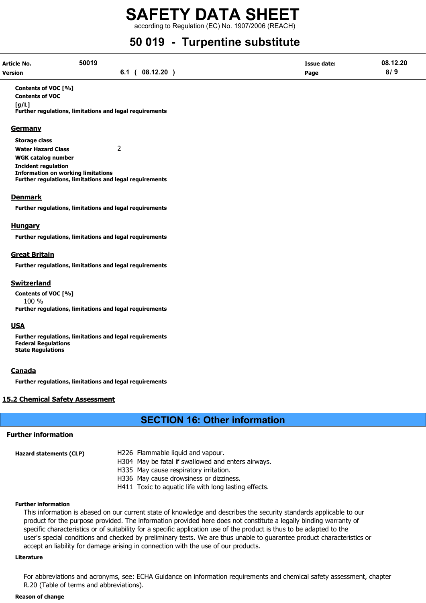according to Regulation (EC) No. 1907/2006 (REACH)

# 50 019 - Turpentine substitute

| Article No.    | 50019 |                 | <b>Issue date:</b> | 08.12.20 |
|----------------|-------|-----------------|--------------------|----------|
| <b>Version</b> |       | 08.12.20<br>6.1 | Page               | 8/9      |

Contents of VOC [%] Contents of VOC  $[a/L]$ Further regulations, limitations and legal requirements

#### **Germany**

Storage class Water Hazard Class 2 WGK catalog number Incident regulation Information on working limitations Further regulations, limitations and legal requirements

#### Denmark

Further regulations, limitations and legal requirements

#### **Hungary**

Further regulations, limitations and legal requirements

#### Great Britain

Further regulations, limitations and legal requirements

#### Switzerland

Contents of VOC [%] 100 % Further regulations, limitations and legal requirements

#### USA

Further regulations, limitations and legal requirements Federal Regulations State Regulations

#### **Canada**

Further regulations, limitations and legal requirements

#### 15.2 Chemical Safety Assessment

# SECTION 16: Other information

#### Further information

| Hazard statements (CLP) | H226 Flammable liquid and vapour.                     |
|-------------------------|-------------------------------------------------------|
|                         | H304 May be fatal if swallowed and enters airways.    |
|                         | H335 May cause respiratory irritation.                |
|                         | H336 May cause drowsiness or dizziness.               |
|                         | H411 Toxic to aquatic life with long lasting effects. |

#### Further information

This information is abased on our current state of knowledge and describes the security standards applicable to our product for the purpose provided. The information provided here does not constitute a legally binding warranty of specific characteristics or of suitability for a specific application use of the product is thus to be adapted to the user's special conditions and checked by preliminary tests. We are thus unable to guarantee product characteristics or accept an liability for damage arising in connection with the use of our products.

#### Literature

For abbreviations and acronyms, see: ECHA Guidance on information requirements and chemical safety assessment, chapter R.20 (Table of terms and abbreviations).

#### Reason of change